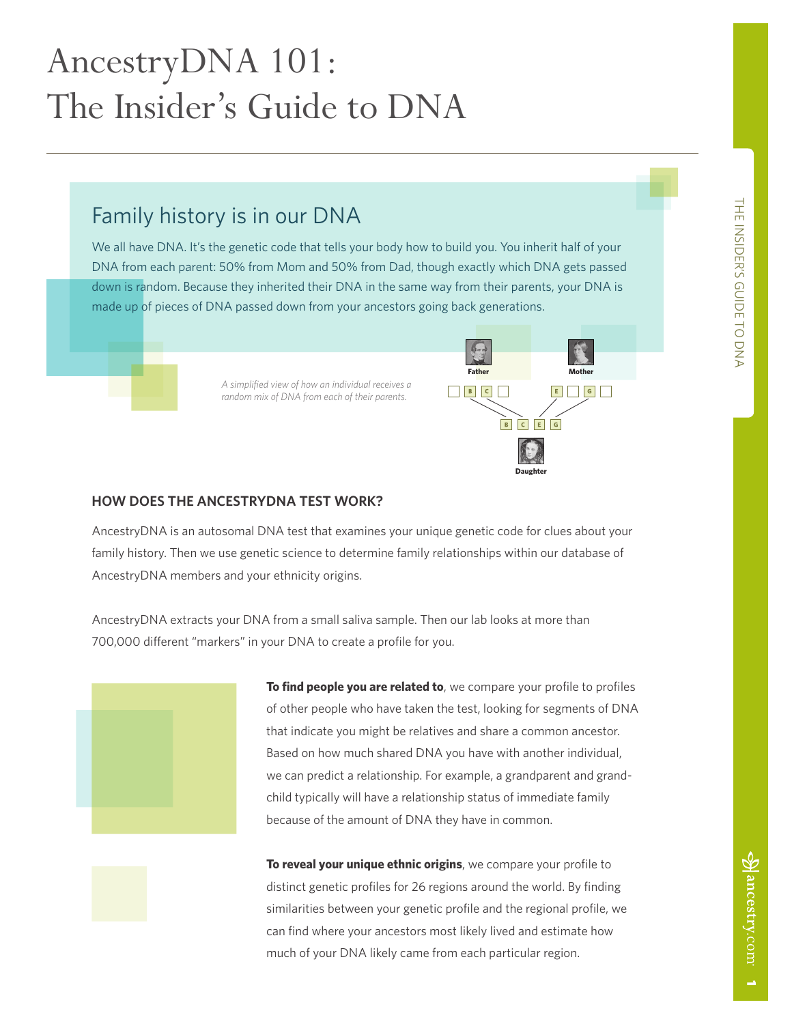# AncestryDNA 101: The Insider's Guide to DNA

# Family history is in our DNA

We all have DNA. It's the genetic code that tells your body how to build you. You inherit half of your DNA from each parent: 50% from Mom and 50% from Dad, though exactly which DNA gets passed down is random. Because they inherited their DNA in the same way from their parents, your DNA is made up of pieces of DNA passed down from your ancestors going back generations.

> *A simplified view of how an individual receives a random mix of DNA from each of their parents.*



# **HOW DOES THE ANCESTRYDNA TEST WORK?**

AncestryDNA is an autosomal DNA test that examines your unique genetic code for clues about your family history. Then we use genetic science to determine family relationships within our database of AncestryDNA members and your ethnicity origins.

AncestryDNA extracts your DNA from a small saliva sample. Then our lab looks at more than 700,000 different "markers" in your DNA to create a profile for you.



**To find people you are related to**, we compare your profile to profiles of other people who have taken the test, looking for segments of DNA that indicate you might be relatives and share a common ancestor. Based on how much shared DNA you have with another individual, we can predict a relationship. For example, a grandparent and grandchild typically will have a relationship status of immediate family because of the amount of DNA they have in common.

**To reveal your unique ethnic origins**, we compare your profile to distinct genetic profiles for 26 regions around the world. By finding similarities between your genetic profile and the regional profile, we can find where your ancestors most likely lived and estimate how much of your DNA likely came from each particular region.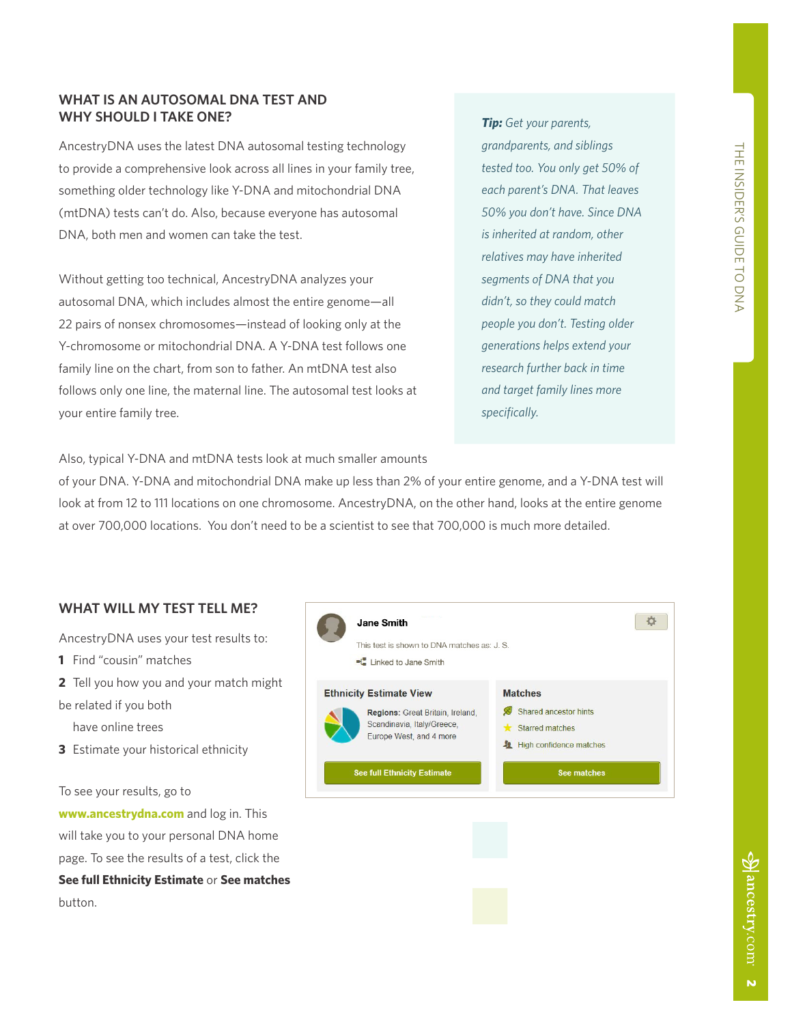# **WHAT IS AN AUTOSOMAL DNA TEST AND WHY SHOULD I TAKE ONE?**

AncestryDNA uses the latest DNA autosomal testing technology to provide a comprehensive look across all lines in your family tree, something older technology like Y-DNA and mitochondrial DNA (mtDNA) tests can't do. Also, because everyone has autosomal DNA, both men and women can take the test.

Without getting too technical, AncestryDNA analyzes your autosomal DNA, which includes almost the entire genome—all 22 pairs of nonsex chromosomes—instead of looking only at the Y-chromosome or mitochondrial DNA. A Y-DNA test follows one family line on the chart, from son to father. An mtDNA test also follows only one line, the maternal line. The autosomal test looks at your entire family tree.

*Tip: Get your parents, grandparents, and siblings tested too. You only get 50% of each parent's DNA. That leaves 50% you don't have. Since DNA is inherited at random, other relatives may have inherited segments of DNA that you didn't, so they could match people you don't. Testing older generations helps extend your research further back in time and target family lines more specifically.* 

Also, typical Y-DNA and mtDNA tests look at much smaller amounts

of your DNA. Y-DNA and mitochondrial DNA make up less than 2% of your entire genome, and a Y-DNA test will look at from 12 to 111 locations on one chromosome. AncestryDNA, on the other hand, looks at the entire genome at over 700,000 locations. You don't need to be a scientist to see that 700,000 is much more detailed.

# **WHAT WILL MY TEST TELL ME?**

AncestryDNA uses your test results to:

- **1** Find "cousin" matches
- **2** Tell you how you and your match might
- be related if you both

have online trees

**3** Estimate your historical ethnicity

#### To see your results, go to

**<www.ancestrydna.com>** and log in. This will take you to your personal DNA home page. To see the results of a test, click the **See full Ethnicity Estimate** or **See matches** button.

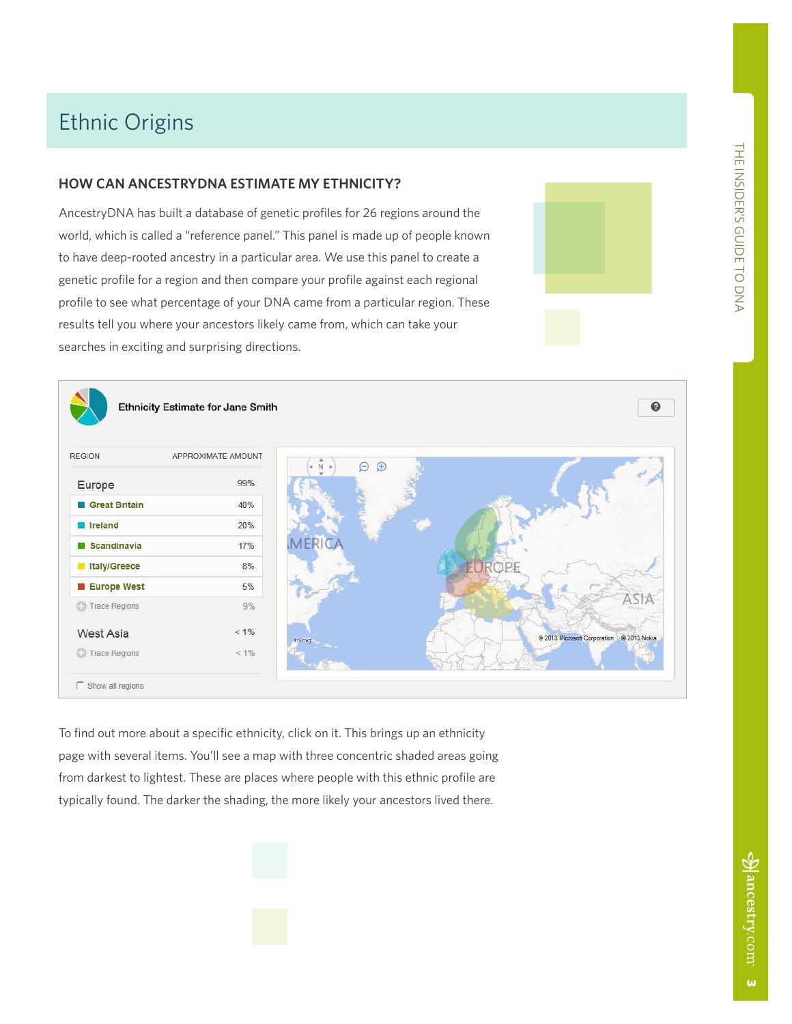# Ethnic Origins

# **HOW CAN ANCESTRYDNA ESTIMATE MY ETHNICITY?**

AncestryDNA has built a database of genetic profiles for 26 regions around the world, which is called a "reference panel." This panel is made up of people known to have deep-rooted ancestry in a particular area. We use this panel to create a genetic profile for a region and then compare your profile against each regional profile to see what percentage of your DNA came from a particular region. These results tell you where your ancestors likely came from, which can take your searches in exciting and surprising directions.



To find out more about a specific ethnicity, click on it. This brings up an ethnicity page with several items. You'll see a map with three concentric shaded areas going from darkest to lightest. These are places where people with this ethnic profile are typically found. The darker the shading, the more likely your ancestors lived there.

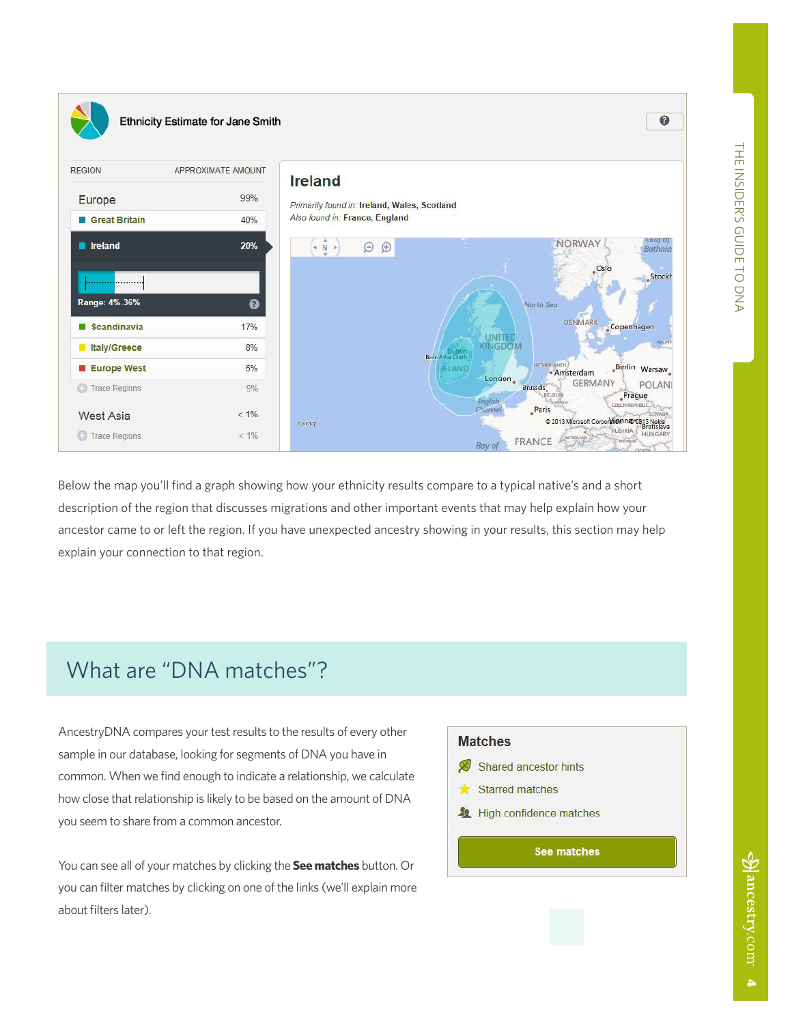$\bullet$ 





Below the map you'll find a graph showing how your ethnicity results compare to a typical native's and a short description of the region that discusses migrations and other important events that may help explain how your ancestor came to or left the region. If you have unexpected ancestry showing in your results, this section may help explain your connection to that region.

# What are "DNA matches"?

AncestryDNA compares your test results to the results of every other sample in our database, looking for segments of DNA you have in common. When we find enough to indicate a relationship, we calculate how close that relationship is likely to be based on the amount of DNA you seem to share from a common ancestor.

You can see all of your matches by clicking the **See matches** button. Or you can filter matches by clicking on one of the links (we'll explain more about filters later).

# **Matches**

- Shared ancestor hints
- **Starred matches**
- High confidence matches

See matches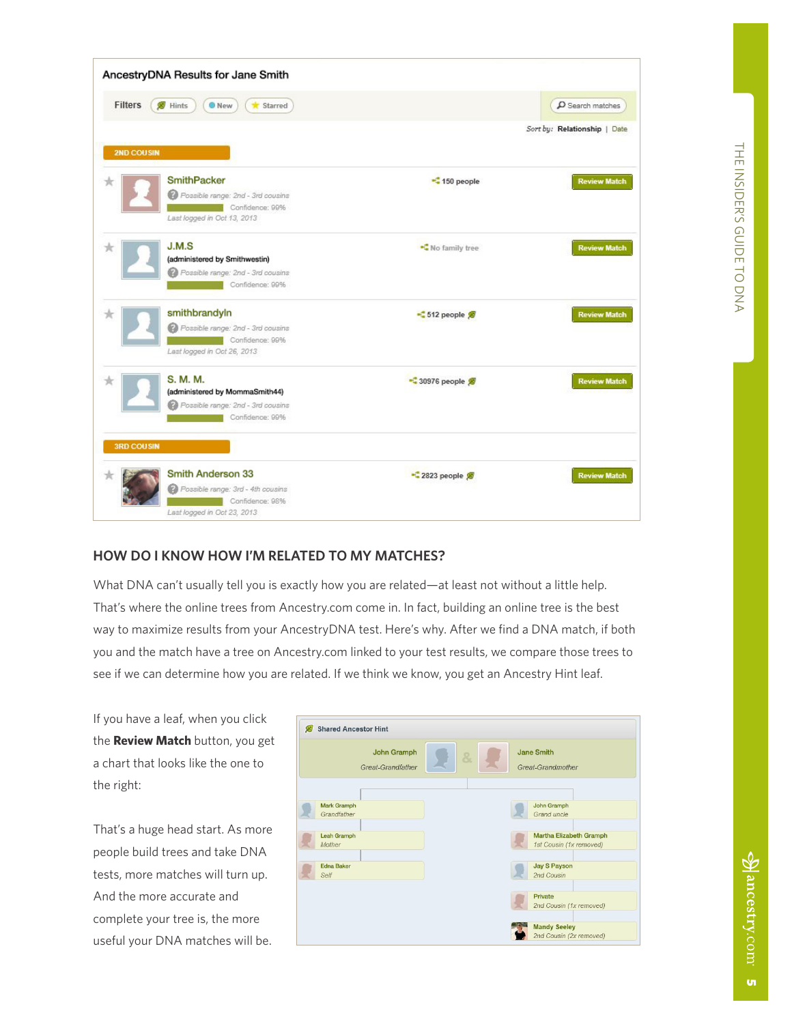|                        | AncestryDNA Results for Jane Smith                                                                        |                   |                                |
|------------------------|-----------------------------------------------------------------------------------------------------------|-------------------|--------------------------------|
| Filters                | Hints<br><b>O</b> New<br>* Starred                                                                        |                   | $\mathbfcal{D}$ Search matches |
| <b>2ND COUSIN</b>      |                                                                                                           |                   | Sort by: Relationship   Date   |
| K                      | <b>SmithPacker</b><br>Possible range: 2nd - 3rd cousins<br>Confidence: 99%<br>Last logged in Oct 13, 2013 | -C 150 people     | <b>Review Match</b>            |
| 7R                     | J.M.S<br>(administered by Smithwestin)<br>Possible range: 2nd - 3rd cousins<br>Confidence: 99%            | -C No family tree | <b>Review Match</b>            |
|                        | smithbrandyln<br>Possible range: 2nd - 3rd cousins<br>Confidence: 99%<br>Last logged in Oct 26, 2013      | $-512$ people     | <b>Review Match</b>            |
| 食<br><b>3RD COUSIN</b> | S. M. M.<br>(administered by MommaSmith44)<br>Possible range: 2nd - 3rd cousins<br>Confidence: 99%        | • 30976 people 第  | <b>Review Match</b>            |
|                        | Smith Anderson 33<br>Possible range: 3rd - 4th cousins<br>Confidence: 98%<br>Last logged in Oct 23, 2013. | -2823 people      | <b>Review Match</b>            |

# **HOW DO I KNOW HOW I'M RELATED TO MY MATCHES?**

What DNA can't usually tell you is exactly how you are related—at least not without a little help. That's where the online trees from Ancestry.com come in. In fact, building an online tree is the best way to maximize results from your AncestryDNA test. Here's why. After we find a DNA match, if both you and the match have a tree on Ancestry.com linked to your test results, we compare those trees to see if we can determine how you are related. If we think we know, you get an Ancestry Hint leaf.

If you have a leaf, when you click the **Review Match** button, you get a chart that looks like the one to the right:

That's a huge head start. As more people build trees and take DNA tests, more matches will turn up. And the more accurate and complete your tree is, the more useful your DNA matches will be.

| John Gramph<br>Great-Grandfather  |  | 8. |  | <b>Jane Smith</b><br>Great-Grandmother             |
|-----------------------------------|--|----|--|----------------------------------------------------|
| <b>Mark Gramph</b><br>Grandfather |  |    |  | John Gramph<br>Grand uncle                         |
| Leah Gramph<br>Mother             |  |    |  | Martha Elizabeth Gramph<br>1st Cousin (1x removed) |
| <b>Edna Baker</b><br>Self         |  |    |  | <b>Jay S Payson</b><br>2nd Cousin                  |
|                                   |  |    |  | Private<br>2nd Cousin (1x removed)                 |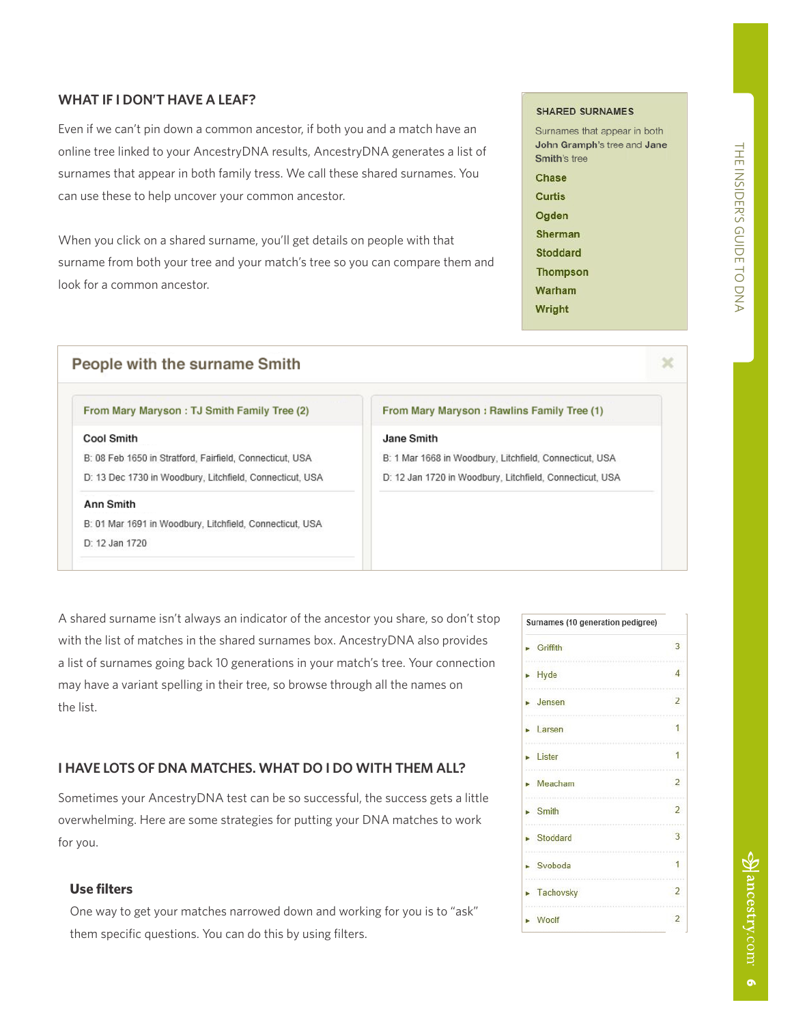# **WHAT IF I DON'T HAVE A LEAF?**

Even if we can't pin down a common ancestor, if both you and a match have an online tree linked to your AncestryDNA results, AncestryDNA generates a list of surnames that appear in both family tress. We call these shared surnames. You can use these to help uncover your common ancestor.

When you click on a shared surname, you'll get details on people with that surname from both your tree and your match's tree so you can compare them and look for a common ancestor.

# People with the surname Smith

#### From Mary Maryson : TJ Smith Family Tree (2)

#### Cool Smith

B: 08 Feb 1650 in Stratford, Fairfield, Connecticut, USA D: 13 Dec 1730 in Woodbury, Litchfield, Connecticut, USA

#### Ann Smith

B: 01 Mar 1691 in Woodbury, Litchfield, Connecticut, USA D: 12 Jan 1720

From Mary Maryson: Rawlins Family Tree (1)

#### Jane Smith

B: 1 Mar 1668 in Woodbury, Litchfield, Connecticut, USA D: 12 Jan 1720 in Woodbury, Litchfield, Connecticut, USA

A shared surname isn't always an indicator of the ancestor you share, so don't stop with the list of matches in the shared surnames box. AncestryDNA also provides a list of surnames going back 10 generations in your match's tree. Your connection may have a variant spelling in their tree, so browse through all the names on the list.

# **I HAVE LOTS OF DNA MATCHES. WHAT DO I DO WITH THEM ALL?**

Sometimes your AncestryDNA test can be so successful, the success gets a little overwhelming. Here are some strategies for putting your DNA matches to work for you.

## **Use filters**

One way to get your matches narrowed down and working for you is to "ask" them specific questions. You can do this by using filters.

 $\mathcal{S}$  ancestry.com

#### **SHARED SURNAMES**

 $\mathcal{L}$ 

| Surnames that appear in bot |
|-----------------------------|
| John Gramph's tree and Jar  |
| <b>Smith's tree</b>         |
| Chase                       |
| Curtis                      |
| Ogden                       |
| Sherman                     |
| <b>Stoddard</b>             |
| <b>Thompson</b>             |
| Warham                      |
| Wright                      |

| Surnames (10 generation pedigree) |                |  |  |  |
|-----------------------------------|----------------|--|--|--|
| Griffith                          | 3              |  |  |  |
| Hyde                              | $\Delta$       |  |  |  |
| Jensen                            | $\overline{2}$ |  |  |  |
|                                   |                |  |  |  |
| Larsen                            |                |  |  |  |
| Lister                            |                |  |  |  |
| Meacham                           |                |  |  |  |
| <b>Smith</b>                      | $\mathcal{L}$  |  |  |  |
| Stoddard                          | 3              |  |  |  |
| Svoboda                           |                |  |  |  |
| Tachovsky                         |                |  |  |  |
| Woolf                             | $\overline{2}$ |  |  |  |

# ×

h.

 $\overline{P}$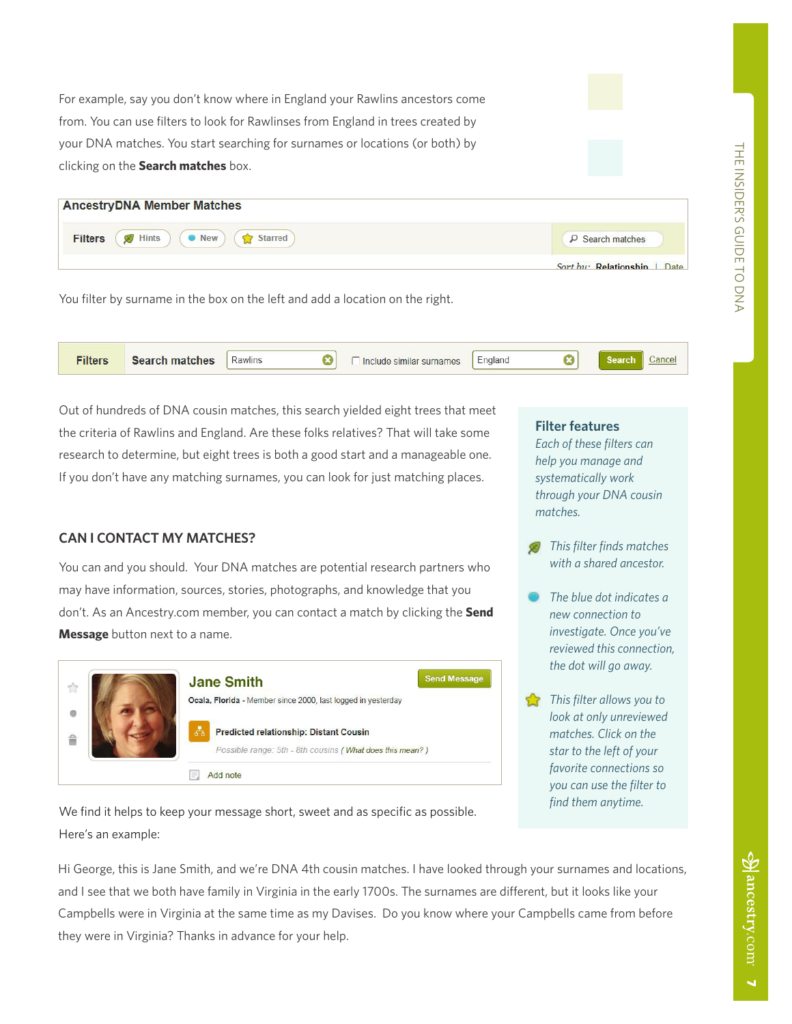For example, say you don't know where in England your Rawlins ancestors come from. You can use filters to look for Rawlinses from England in trees created by your DNA matches. You start searching for surnames or locations (or both) by clicking on the **Search matches** box.

| <b>AncestryDNA Member Matches</b>             |                              |
|-----------------------------------------------|------------------------------|
| B Hints ( New ) ( Starred )<br><b>Filters</b> | $\rho$ Search matches        |
|                                               | Sort by: Relationship   Date |

You filter by surname in the box on the left and add a location on the right.

| Filters | <b>Search matches</b> | Rawlins | Include similar surnames | -<br>England |  |  |
|---------|-----------------------|---------|--------------------------|--------------|--|--|
|         |                       |         |                          |              |  |  |

Out of hundreds of DNA cousin matches, this search yielded eight trees that meet the criteria of Rawlins and England. Are these folks relatives? That will take some research to determine, but eight trees is both a good start and a manageable one. If you don't have any matching surnames, you can look for just matching places.

# **CAN I CONTACT MY MATCHES?**

You can and you should. Your DNA matches are potential research partners who may have information, sources, stories, photographs, and knowledge that you don't. As an Ancestry.com member, you can contact a match by clicking the **Send Message** button next to a name.



We find it helps to keep your message short, sweet and as specific as possible. Here's an example:

### **Filter features**

*Each of these filters can help you manage and systematically work through your DNA cousin matches.* 

- *This filter finds matches with a shared ancestor.*
- *The blue dot indicates a new connection to investigate. Once you've reviewed this connection, the dot will go away.*
- *This filter allows you to look at only unreviewed matches. Click on the star to the left of your favorite connections so you can use the filter to find them anytime.*

Hi George, this is Jane Smith, and we're DNA 4th cousin matches. I have looked through your surnames and locations, and I see that we both have family in Virginia in the early 1700s. The surnames are different, but it looks like your Campbells were in Virginia at the same time as my Davises. Do you know where your Campbells came from before they were in Virginia? Thanks in advance for your help.